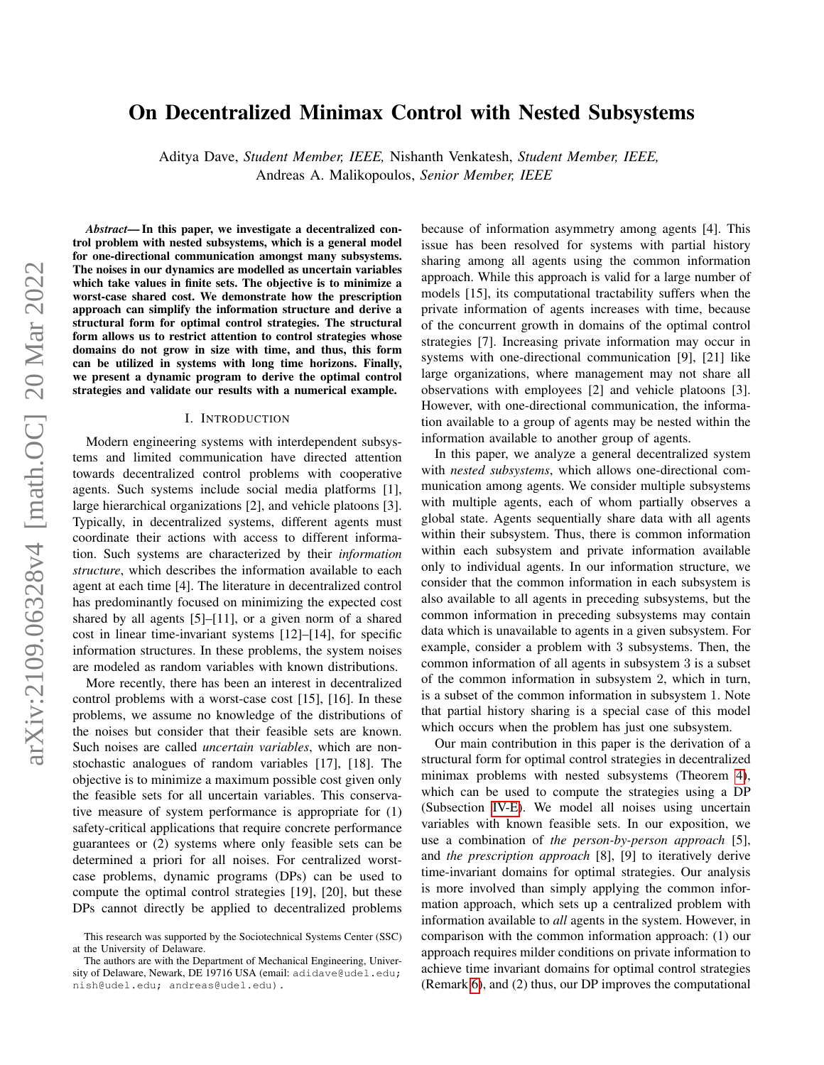# On Decentralized Minimax Control with Nested Subsystems

Aditya Dave, *Student Member, IEEE,* Nishanth Venkatesh, *Student Member, IEEE,*

Andreas A. Malikopoulos, *Senior Member, IEEE*

*Abstract*— In this paper, we investigate a decentralized control problem with nested subsystems, which is a general model for one-directional communication amongst many subsystems. The noises in our dynamics are modelled as uncertain variables which take values in finite sets. The objective is to minimize a worst-case shared cost. We demonstrate how the prescription approach can simplify the information structure and derive a structural form for optimal control strategies. The structural form allows us to restrict attention to control strategies whose domains do not grow in size with time, and thus, this form can be utilized in systems with long time horizons. Finally, we present a dynamic program to derive the optimal control strategies and validate our results with a numerical example.

#### I. INTRODUCTION

Modern engineering systems with interdependent subsystems and limited communication have directed attention towards decentralized control problems with cooperative agents. Such systems include social media platforms [1], large hierarchical organizations [2], and vehicle platoons [3]. Typically, in decentralized systems, different agents must coordinate their actions with access to different information. Such systems are characterized by their *information structure*, which describes the information available to each agent at each time [4]. The literature in decentralized control has predominantly focused on minimizing the expected cost shared by all agents [5]–[11], or a given norm of a shared cost in linear time-invariant systems [12]–[14], for specific information structures. In these problems, the system noises are modeled as random variables with known distributions.

More recently, there has been an interest in decentralized control problems with a worst-case cost [15], [16]. In these problems, we assume no knowledge of the distributions of the noises but consider that their feasible sets are known. Such noises are called *uncertain variables*, which are nonstochastic analogues of random variables [17], [18]. The objective is to minimize a maximum possible cost given only the feasible sets for all uncertain variables. This conservative measure of system performance is appropriate for (1) safety-critical applications that require concrete performance guarantees or (2) systems where only feasible sets can be determined a priori for all noises. For centralized worstcase problems, dynamic programs (DPs) can be used to compute the optimal control strategies [19], [20], but these DPs cannot directly be applied to decentralized problems because of information asymmetry among agents [4]. This issue has been resolved for systems with partial history sharing among all agents using the common information approach. While this approach is valid for a large number of models [15], its computational tractability suffers when the private information of agents increases with time, because of the concurrent growth in domains of the optimal control strategies [7]. Increasing private information may occur in systems with one-directional communication [9], [21] like large organizations, where management may not share all observations with employees [2] and vehicle platoons [3]. However, with one-directional communication, the information available to a group of agents may be nested within the information available to another group of agents.

In this paper, we analyze a general decentralized system with *nested subsystems*, which allows one-directional communication among agents. We consider multiple subsystems with multiple agents, each of whom partially observes a global state. Agents sequentially share data with all agents within their subsystem. Thus, there is common information within each subsystem and private information available only to individual agents. In our information structure, we consider that the common information in each subsystem is also available to all agents in preceding subsystems, but the common information in preceding subsystems may contain data which is unavailable to agents in a given subsystem. For example, consider a problem with 3 subsystems. Then, the common information of all agents in subsystem 3 is a subset of the common information in subsystem 2, which in turn, is a subset of the common information in subsystem 1. Note that partial history sharing is a special case of this model which occurs when the problem has just one subsystem.

Our main contribution in this paper is the derivation of a structural form for optimal control strategies in decentralized minimax problems with nested subsystems (Theorem [4\)](#page-6-0), which can be used to compute the strategies using a DP (Subsection [IV-E\)](#page-6-1). We model all noises using uncertain variables with known feasible sets. In our exposition, we use a combination of *the person-by-person approach* [5], and *the prescription approach* [8], [9] to iteratively derive time-invariant domains for optimal strategies. Our analysis is more involved than simply applying the common information approach, which sets up a centralized problem with information available to *all* agents in the system. However, in comparison with the common information approach: (1) our approach requires milder conditions on private information to achieve time invariant domains for optimal control strategies (Remark [6\)](#page-6-2), and (2) thus, our DP improves the computational

This research was supported by the Sociotechnical Systems Center (SSC) at the University of Delaware.

The authors are with the Department of Mechanical Engineering, University of Delaware, Newark, DE 19716 USA (email: adidave@udel.edu; nish@udel.edu; andreas@udel.edu).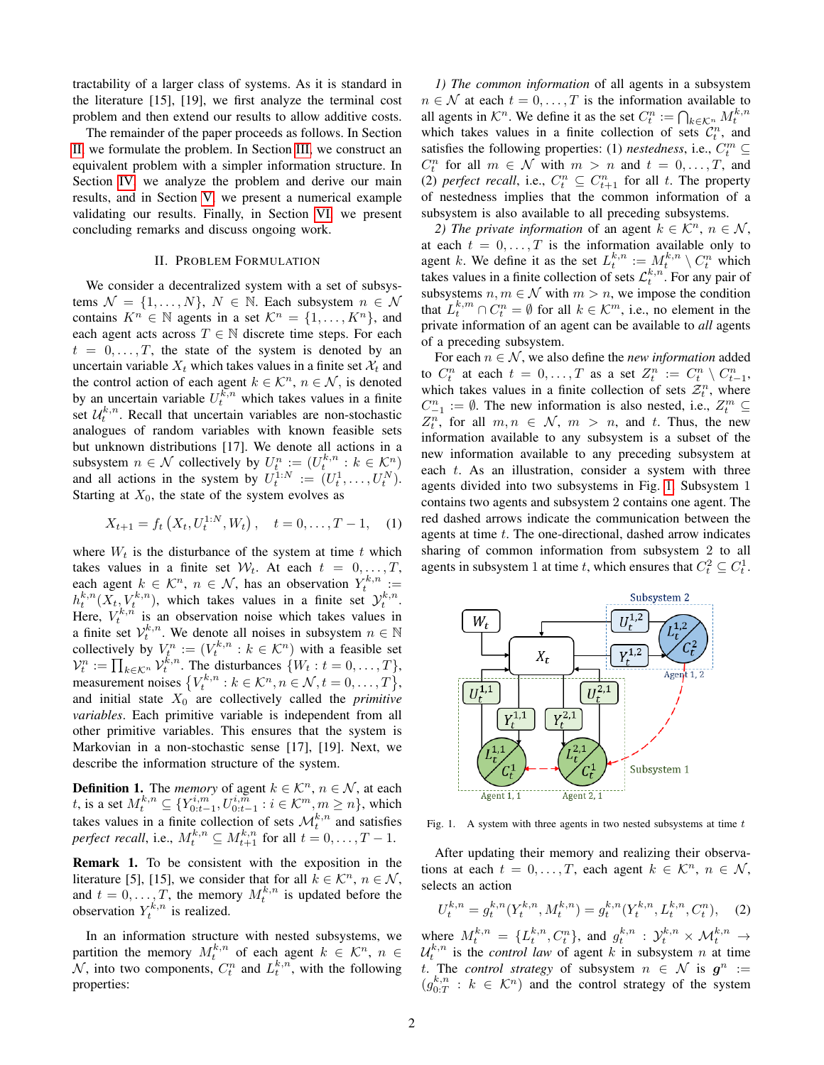tractability of a larger class of systems. As it is standard in the literature [15], [19], we first analyze the terminal cost problem and then extend our results to allow additive costs.

The remainder of the paper proceeds as follows. In Section [II,](#page-1-0) we formulate the problem. In Section [III,](#page-2-0) we construct an equivalent problem with a simpler information structure. In Section [IV,](#page-3-0) we analyze the problem and derive our main results, and in Section [V,](#page-6-3) we present a numerical example validating our results. Finally, in Section [VI,](#page-7-0) we present concluding remarks and discuss ongoing work.

## II. PROBLEM FORMULATION

<span id="page-1-0"></span>We consider a decentralized system with a set of subsystems  $\mathcal{N} = \{1, \ldots, N\}, N \in \mathbb{N}$ . Each subsystem  $n \in \mathcal{N}$ contains  $K^n \in \mathbb{N}$  agents in a set  $\mathcal{K}^n = \{1, \ldots, K^n\}$ , and each agent acts across  $T \in \mathbb{N}$  discrete time steps. For each  $t = 0, \ldots, T$ , the state of the system is denoted by an uncertain variable  $X_t$  which takes values in a finite set  $\mathcal{X}_t$  and the control action of each agent  $k \in \mathcal{K}^n$ ,  $n \in \mathcal{N}$ , is denoted by an uncertain variable  $U_t^{k,n}$  which takes values in a finite set  $\mathcal{U}_t^{k,n}$ . Recall that uncertain variables are non-stochastic analogues of random variables with known feasible sets but unknown distributions [17]. We denote all actions in a subsystem  $n \in \mathcal{N}$  collectively by  $U_t^n := (U_t^{k,n} : k \in \mathcal{K}^n)$ and all actions in the system by  $U_t^{1:N} := (U_t^1, \dots, U_t^N)$ . Starting at  $X_0$ , the state of the system evolves as

$$
X_{t+1} = f_t\left(X_t, U_t^{1:N}, W_t\right), \quad t = 0, \dots, T-1, \quad (1)
$$

where  $W_t$  is the disturbance of the system at time t which takes values in a finite set  $W_t$ . At each  $t = 0, \ldots, T$ , each agent  $k \in \mathcal{K}^n$ ,  $n \in \mathcal{N}$ , has an observation  $Y_t^{k,n}$  :=  $h_t^{k,n}(\tilde{X}_t, V_t^{k,n})$ , which takes values in a finite set  $\mathcal{Y}_t^{k,n}$ . Here,  $V_t^{k,n}$  is an observation noise which takes values in a finite set  $V_t^{k,n}$ . We denote all noises in subsystem  $n \in \mathbb{N}$ <br>collectively by  $V_t^n$ ,  $(V_t^{k,n} \cdot h \in K_t^n)$  with a fossible set collectively by  $V_t^n := (V_t^{k,n} : k \in \mathcal{K}^n)$  with a feasible set  $\mathcal{V}_t^n := \prod_{k \in \mathcal{K}^n} \mathcal{V}_t^{\tilde{k},n}$ . The disturbances  $\{W_t : t = 0, \ldots, T\},$ measurement noises  $\{V_t^{k,n}: k \in \mathcal{K}^n, n \in \mathcal{N}, t = 0, \ldots, T\}$ , and initial state  $X_0$  are collectively called the *primitive variables*. Each primitive variable is independent from all other primitive variables. This ensures that the system is Markovian in a non-stochastic sense [17], [19]. Next, we describe the information structure of the system.

**Definition 1.** The *memory* of agent  $k \in \mathcal{K}^n$ ,  $n \in \mathcal{N}$ , at each t, is a set  $M_t^{k,n} \subseteq \{ Y_{0:t-1}^{i,m}, U_{0:t-1}^{i,m} : i \in \mathcal{K}^m, m \geq n \}$ , which takes values in a finite collection of sets  $\mathcal{M}_t^{k,n}$  and satisfies *perfect recall*, i.e.,  $M_t^{k,n} \subseteq M_{t+1}^{k,n}$  for all  $t = 0, \ldots, T-1$ .

Remark 1. To be consistent with the exposition in the literature [5], [15], we consider that for all  $k \in \mathcal{K}^n$ ,  $n \in \mathcal{N}$ , and  $t = 0, \ldots, T$ , the memory  $M_t^{k,n}$  is updated before the observation  $Y_t^{k,n}$  is realized.

In an information structure with nested subsystems, we partition the memory  $M_t^{k,n}$  of each agent  $k \in \mathcal{K}^n$ ,  $n \in$  $\mathcal{N}$ , into two components,  $C_t^n$  and  $L_t^{k,n}$ , with the following properties:

*1) The common information* of all agents in a subsystem  $n \in \mathcal{N}$  at each  $t = 0, \ldots, T$  is the information available to all agents in  $\mathcal{K}^n$ . We define it as the set  $C_t^n := \bigcap_{k \in \mathcal{K}^n} M_t^{k,n}$ which takes values in a finite collection of sets  $\mathcal{C}_t^n$ , and satisfies the following properties: (1) *nestedness*, i.e.,  $C_t^m \subseteq$  $C_t^n$  for all  $m \in \mathcal{N}$  with  $m > n$  and  $t = 0, \ldots, T$ , and (2) *perfect recall*, i.e.,  $C_t^n \subseteq C_{t+1}^n$  for all t. The property of nestedness implies that the common information of a subsystem is also available to all preceding subsystems.

*2) The private information* of an agent  $k \in \mathcal{K}^n$ ,  $n \in \mathcal{N}$ , at each  $t = 0, \ldots, T$  is the information available only to agent k. We define it as the set  $L_t^{k,n} := M_t^{k,n} \setminus C_t^n$  which takes values in a finite collection of sets  $\mathcal{L}_t^{k,n}$ . For any pair of subsystems  $n, m \in \mathcal{N}$  with  $m > n$ , we impose the condition that  $L_t^{k,m} \cap C_t^n = \emptyset$  for all  $k \in \mathcal{K}^m$ , i.e., no element in the private information of an agent can be available to *all* agents of a preceding subsystem.

For each  $n \in \mathcal{N}$ , we also define the *new information* added to  $C_t^n$  at each  $t = 0, ..., T$  as a set  $Z_t^n := C_t^n \setminus C_{t-1}^n$ , which takes values in a finite collection of sets  $\mathcal{Z}_t^n$ , where  $C_{-1}^n := \emptyset$ . The new information is also nested, i.e.,  $Z_t^m \subseteq$  $Z_t^n$ , for all  $m, n \in \mathcal{N}$ ,  $m > n$ , and t. Thus, the new information available to any subsystem is a subset of the new information available to any preceding subsystem at each  $t$ . As an illustration, consider a system with three agents divided into two subsystems in Fig. [1.](#page-1-1) Subsystem 1 contains two agents and subsystem 2 contains one agent. The red dashed arrows indicate the communication between the agents at time t. The one-directional, dashed arrow indicates sharing of common information from subsystem 2 to all agents in subsystem 1 at time t, which ensures that  $C_t^2 \subseteq C_t^1$ .



<span id="page-1-1"></span>Fig. 1. A system with three agents in two nested subsystems at time  $t$ 

After updating their memory and realizing their observations at each  $t = 0, \ldots, T$ , each agent  $k \in \mathcal{K}^n$ ,  $n \in \mathcal{N}$ , selects an action

$$
U_t^{k,n} = g_t^{k,n}(Y_t^{k,n}, M_t^{k,n}) = g_t^{k,n}(Y_t^{k,n}, L_t^{k,n}, C_t^n), \quad (2)
$$

where  $M_t^{k,n} = \{L_t^{k,n}, C_t^n\}$ , and  $g_t^{k,n} : \mathcal{Y}_t^{k,n} \times \mathcal{M}_t^{k,n} \to$  $\mathcal{U}_t^{k,n}$  is the *control law* of agent k in subsystem n at time t. The *control strategy* of subsystem  $n \in \mathcal{N}$  is  $g^n :=$  $(g_{0:T}^{k,n}: k \in \mathcal{K}^n)$  and the control strategy of the system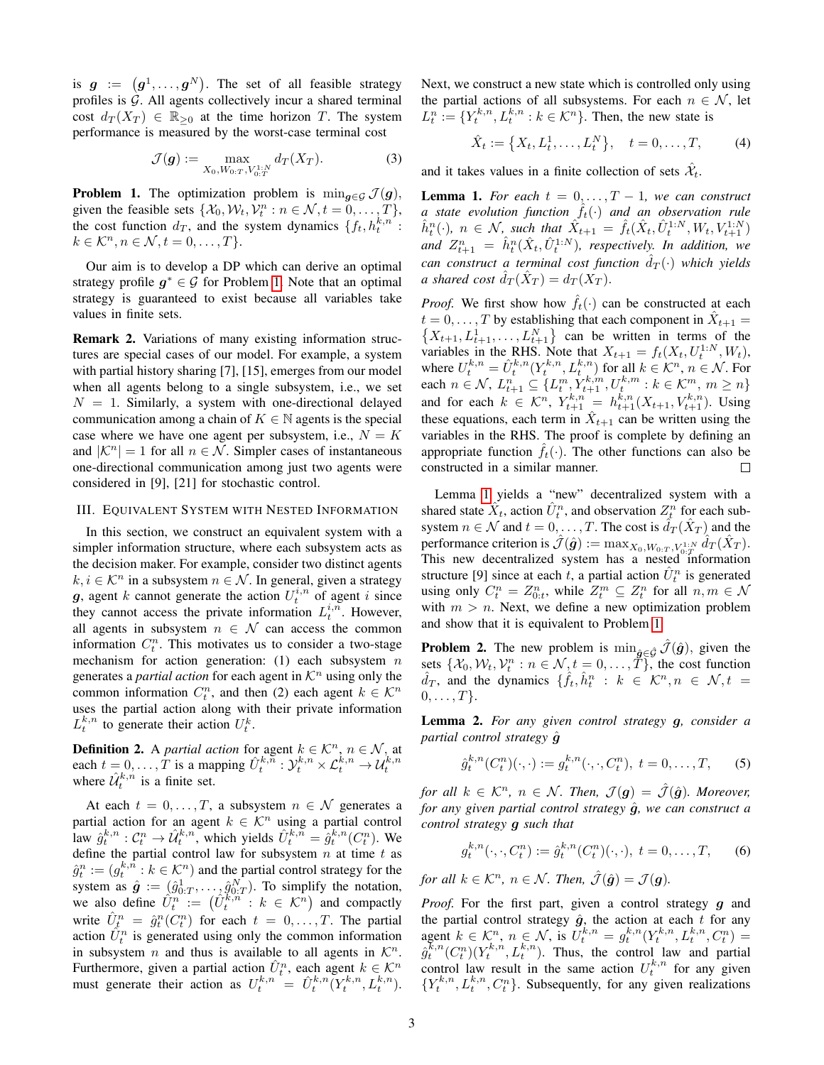is  $g := (g^1, \dots, g^N)$ . The set of all feasible strategy profiles is  $G$ . All agents collectively incur a shared terminal cost  $d_T(X_T) \in \mathbb{R}_{\geq 0}$  at the time horizon T. The system performance is measured by the worst-case terminal cost

$$
\mathcal{J}(\boldsymbol{g}) := \max_{X_0, W_{0:T}, V_{0:T}^{1:N}} d_T(X_T). \tag{3}
$$

<span id="page-2-1"></span>**Problem 1.** The optimization problem is  $\min_{\mathbf{q} \in \mathcal{G}} \mathcal{J}(\mathbf{q}),$ given the feasible sets  $\{\mathcal{X}_0, \mathcal{W}_t, \mathcal{V}_t^n : n \in \mathcal{N}, t = 0, \dots, T\},\$ the cost function  $d_T$ , and the system dynamics  $\{f_t, h_t^{k,n}$ :  $k \in \mathcal{K}^n, n \in \mathcal{N}, t = 0, \ldots, T$ .

Our aim is to develop a DP which can derive an optimal strategy profile  $g^* \in \mathcal{G}$  for Problem [1.](#page-2-1) Note that an optimal strategy is guaranteed to exist because all variables take values in finite sets.

Remark 2. Variations of many existing information structures are special cases of our model. For example, a system with partial history sharing [7], [15], emerges from our model when all agents belong to a single subsystem, i.e., we set  $N = 1$ . Similarly, a system with one-directional delayed communication among a chain of  $K \in \mathbb{N}$  agents is the special case where we have one agent per subsystem, i.e.,  $N = K$ and  $|\mathcal{K}^n| = 1$  for all  $n \in \mathcal{N}$ . Simpler cases of instantaneous one-directional communication among just two agents were considered in [9], [21] for stochastic control.

#### <span id="page-2-0"></span>III. EQUIVALENT SYSTEM WITH NESTED INFORMATION

In this section, we construct an equivalent system with a simpler information structure, where each subsystem acts as the decision maker. For example, consider two distinct agents  $k, i \in \mathcal{K}^n$  in a subsystem  $n \in \mathcal{N}$ . In general, given a strategy g, agent k cannot generate the action  $U_t^{i,n}$  of agent i since they cannot access the private information  $L_t^{i,n}$ . However, all agents in subsystem  $n \in \mathcal{N}$  can access the common information  $C_t^n$ . This motivates us to consider a two-stage mechanism for action generation: (1) each subsystem  $n$ generates a *partial action* for each agent in  $K<sup>n</sup>$  using only the common information  $C_t^n$ , and then (2) each agent  $k \in \mathcal{K}^n$ uses the partial action along with their private information  $L_t^{k,n}$  to generate their action  $U_t^k$ .

**Definition 2.** A *partial action* for agent  $k \in \mathcal{K}^n$ ,  $n \in \mathcal{N}$ , at each  $t = 0, \ldots, T$  is a mapping  $\hat{U}_t^{k,n} : \mathcal{Y}_t^{k,n} \times \mathcal{L}_t^{k,n} \to \mathcal{U}_t^{k,n}$ where  $\hat{\mathcal{U}}_t^{k,n}$  is a finite set.

At each  $t = 0, \ldots, T$ , a subsystem  $n \in \mathcal{N}$  generates a partial action for an agent  $k \in \mathcal{K}^n$  using a partial control law  $\hat{g}_t^{k,n}$ :  $C_t^n \to \hat{\mathcal{U}}_t^{k,n}$ , which yields  $\hat{U}_t^{k,n} = \hat{g}_t^{k,n}(C_t^n)$ . We define the partial control law for subsystem  $n$  at time  $t$  as  $\hat{g}_t^n := (g_t^{k,\hat{n}} : k \in \mathcal{K}^n)$  and the partial control strategy for the system as  $\hat{\mathbf{g}} := (\hat{g}_{0:T}^1, \dots, \hat{g}_{0:T}^N)$ . To simplify the notation, we also define  $\hat{U}_t^n := (\hat{U}_t^{\overline{k},n} : k \in \mathcal{K}^n)$  and compactly write  $\hat{U}_{t}^{n} = \hat{g}_{t}^{n}(C_{t}^{n})$  for each  $t = 0, ..., T$ . The partial action  $\hat{U}_t^n$  is generated using only the common information in subsystem *n* and thus is available to all agents in  $\mathcal{K}^n$ . Furthermore, given a partial action  $\hat{U}_t^n$ , each agent  $k \in \mathcal{K}^n$ must generate their action as  $U_t^{k,n} = \hat{U}_t^{k,n} (Y_t^{k,n}, L_t^{k,n})$ .

Next, we construct a new state which is controlled only using the partial actions of all subsystems. For each  $n \in \mathcal{N}$ , let  $L_t^n := \{Y_t^{k,n}, L_t^{k,n} : k \in \mathcal{K}^n\}$ . Then, the new state is

$$
\hat{X}_t := \{X_t, L_t^1, \dots, L_t^N\}, \quad t = 0, \dots, T,
$$
 (4)

and it takes values in a finite collection of sets  $\hat{\mathcal{X}}_t$ .

<span id="page-2-2"></span>**Lemma 1.** For each  $t = 0, \ldots, T-1$ , we can construct *a* state evolution function  $f_t(\cdot)$  and an observation rule  $\hat{h}_t^n(\cdot)$ ,  $n \in \mathcal{N}$ , such that  $\hat{X}_{t+1} = \hat{f}_t(\hat{X}_t, \hat{U}_t^{1:N}, W_t, V_{t+1}^{1:N})$ and  $Z_{t+1}^n = \hat{h}_t^n(\hat{X}_t, \hat{U}_t^{1:N})$ , respectively. In addition, we *can construct a terminal cost function*  $\hat{d}_T(\cdot)$  *which yields a shared cost*  $\hat{d}_T(\hat{X}_T) = d_T(X_T)$ .

*Proof.* We first show how  $\hat{f}_t(\cdot)$  can be constructed at each  $t = 0, \dots, T$  by establishing that each component in  $\hat{X}_{t+1} =$  $\{X_{t+1}, L_{t+1}^1, \ldots, L_{t+1}^N\}$  can be written in terms of the variables in the RHS. Note that  $X_{t+1} = f_t(X_t, U_t^{1:N}, W_t)$ , where  $U_t^{k,n} = \hat{U}_t^{k,n}(Y_t^{k,n}, L_t^{k,n})$  for all  $k \in \mathcal{K}^n$ ,  $n \in \mathcal{N}$ . For each  $n \in \mathcal{N}$ ,  $L_{t+1}^n \subseteq \{L_t^m, Y_{t+1}^{k,m}, U_t^{k,m} : k \in \mathcal{K}_1^m, m \geq n\}$ and for each  $k \in \mathcal{K}^n$ ,  $Y_{t+1}^{k,n} = h_{t+1}^{k,n}(X_{t+1}, V_{t+1}^{k,n})$ . Using these equations, each term in  $\hat{X}_{t+1}$  can be written using the variables in the RHS. The proof is complete by defining an appropriate function  $f_t(\cdot)$ . The other functions can also be constructed in a similar manner. □

Lemma [1](#page-2-2) yields a "new" decentralized system with a shared state  $\hat{X}_t$ , action  $\hat{U}_t^n$ , and observation  $Z_t^n$  for each subsystem  $n \in \mathcal{N}$  and  $t = 0, \ldots, T$ . The cost is  $\hat{d}_T(\hat{X}_T)$  and the performance criterion is  $\hat{\mathcal{J}}(\hat{g}) := \max_{X_0, W_0: T, V_0: T} \hat{d}_T(\hat{X}_T)$ . This new decentralized system has a nested information structure [9] since at each t, a partial action  $\hat{U}_t^n$  is generated using only  $C_t^n = Z_{0:t}^n$ , while  $Z_t^m \subseteq Z_t^n$  for all  $n, m \in \mathcal{N}$ with  $m > n$ . Next, we define a new optimization problem and show that it is equivalent to Problem [1.](#page-2-1)

<span id="page-2-4"></span>**Problem 2.** The new problem is  $\min_{\hat{g} \in \hat{\mathcal{G}}} \hat{\mathcal{J}}(\hat{g})$ , given the sets  $\{\mathcal{X}_0, \mathcal{W}_t, \mathcal{V}_t^n : n \in \mathcal{N}, t = 0, \ldots, \mathcal{I}\}$ , the cost function  $\hat{d}_T$ , and the dynamics  $\{\hat{f}_t, \hat{h}_t^n : k \in \mathcal{K}^n, n \in \mathcal{N}, t =$  $0, \ldots, T$ .

<span id="page-2-3"></span>Lemma 2. *For any given control strategy* g*, consider a partial control strategy* gˆ

$$
\hat{g}_t^{k,n}(C_t^n)(\cdot, \cdot) := g_t^{k,n}(\cdot, \cdot, C_t^n), \ t = 0, \dots, T,
$$
 (5)

*for all*  $k \in \mathcal{K}^n$ ,  $n \in \mathcal{N}$ *. Then,*  $\mathcal{J}(\mathbf{g}) = \hat{\mathcal{J}}(\hat{\mathbf{g}})$ *. Moreover, for any given partial control strategy*  $\hat{g}$ *, we can construct a control strategy* g *such that*

<span id="page-2-5"></span>
$$
g_t^{k,n}(\cdot,\cdot,C_t^n) := \hat{g}_t^{k,n}(C_t^n)(\cdot,\cdot), \ t = 0,\ldots,T,\qquad(6)
$$

*for all*  $k \in \mathcal{K}^n$ ,  $n \in \mathcal{N}$ *. Then,*  $\hat{\mathcal{J}}(\hat{g}) = \mathcal{J}(g)$ *.* 

*Proof.* For the first part, given a control strategy g and the partial control strategy  $\hat{g}$ , the action at each t for any agent  $k \in \mathcal{K}^n$ ,  $n \in \mathcal{N}$ , is  $U_t^{k,n} = g_t^{k,n}(Y_t^{k,n}, L_t^{k,n}, C_t^n) =$  $\hat{g}_t^{\bar{k},n}(C_t^n)(Y_t^{k,n},L_t^{k,n})$ . Thus, the control law and partial control law result in the same action  $U_t^{k,n}$  for any given  ${Y_t^{k,n}, L_t^{k,n}, C_t^n}$ . Subsequently, for any given realizations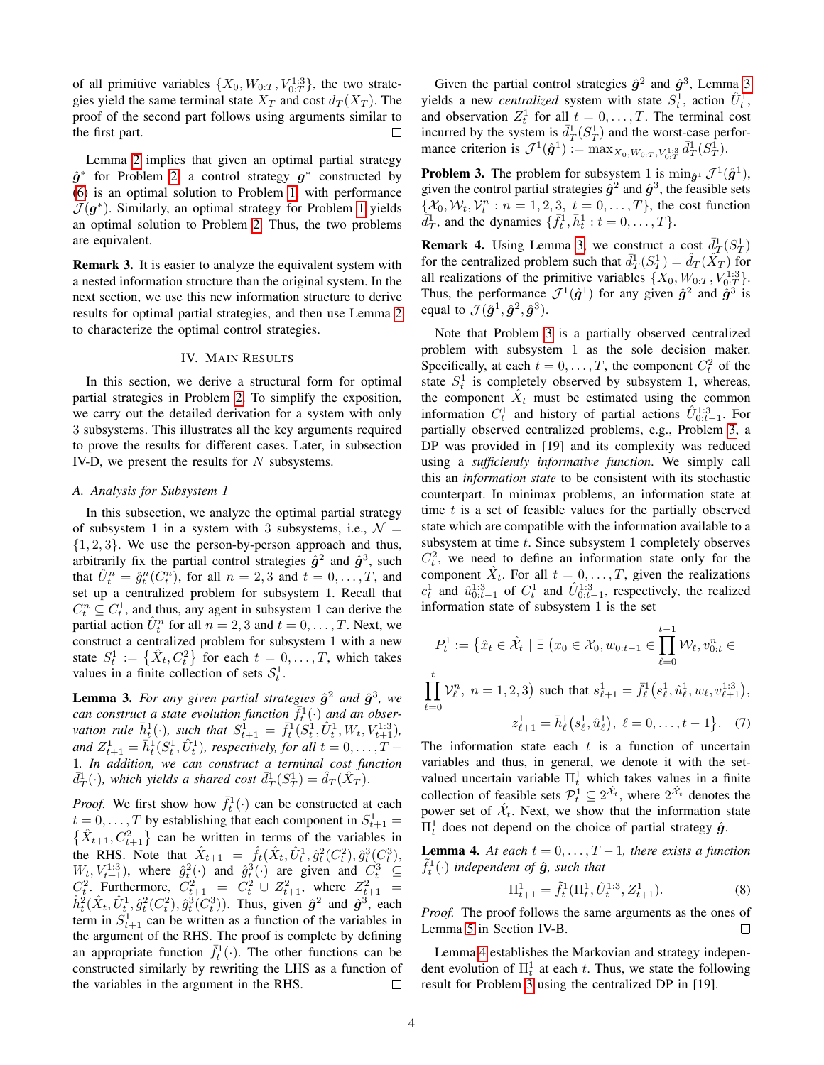of all primitive variables  $\{X_0, W_{0:T}, V_{0:T}^{1:3}\}$ , the two strategies yield the same terminal state  $X_T$  and cost  $d_T(X_T)$ . The proof of the second part follows using arguments similar to  $\Box$ the first part.

Lemma [2](#page-2-3) implies that given an optimal partial strategy  $\hat{g}^*$  for Problem [2,](#page-2-4) a control strategy  $g^*$  constructed by [\(6\)](#page-2-5) is an optimal solution to Problem [1,](#page-2-1) with performance  $\mathcal{J}(\boldsymbol{g}^*)$ . Similarly, an optimal strategy for Problem [1](#page-2-1) yields an optimal solution to Problem [2.](#page-2-4) Thus, the two problems are equivalent.

Remark 3. It is easier to analyze the equivalent system with a nested information structure than the original system. In the next section, we use this new information structure to derive results for optimal partial strategies, and then use Lemma [2](#page-2-3) to characterize the optimal control strategies.

## IV. MAIN RESULTS

<span id="page-3-0"></span>In this section, we derive a structural form for optimal partial strategies in Problem [2.](#page-2-4) To simplify the exposition, we carry out the detailed derivation for a system with only 3 subsystems. This illustrates all the key arguments required to prove the results for different cases. Later, in subsection IV-D, we present the results for  $N$  subsystems.

## <span id="page-3-6"></span>*A. Analysis for Subsystem 1*

In this subsection, we analyze the optimal partial strategy of subsystem 1 in a system with 3 subsystems, i.e.,  $\mathcal{N} =$  $\{1, 2, 3\}$ . We use the person-by-person approach and thus, arbitrarily fix the partial control strategies  $\hat{g}^2$  and  $\hat{g}^3$ , such that  $\hat{U}_t^n = \hat{g}_t^n(C_t^n)$ , for all  $n = 2, 3$  and  $t = 0, \ldots, T$ , and set up a centralized problem for subsystem 1. Recall that  $C_t^n \subseteq C_t^1$ , and thus, any agent in subsystem 1 can derive the partial action  $\hat{U}_t^n$  for all  $n = 2, 3$  and  $t = 0, \dots, T$ . Next, we construct a centralized problem for subsystem 1 with a new state  $S_t^1 := \left\{ \hat{X}_t, C_t^2 \right\}$  for each  $t = 0, \dots, T$ , which takes values in a finite collection of sets  $S_t^1$ .

<span id="page-3-1"></span>**Lemma 3.** For any given partial strategies  $\hat{g}^2$  and  $\hat{g}^3$ , we can construct a state evolution function  $\overline{f_t^1}(\cdot)$  and an obser*vation rule*  $\bar{h}_t^1(\cdot)$ *, such that*  $S_{t+1}^1 = \bar{f}_t^1(S_t^1, \hat{U}_t^1, W_t, V_{t+1}^{1:3})$ *,* and  $Z_{t+1}^1 = \bar{h}_t^1(S_t^1, \hat{U}_t^1)$ , respectively, for all  $t = 0, \ldots, T - 1$ 1*. In addition, we can construct a terminal cost function*  $\bar{d}_{T}^{1}(\cdot)$ , which yields a shared cost  $\bar{d}_{T}^{1}(S_{T}^{1}) = \hat{d}_{T}(\hat{X}_{T}^{\cdot}).$ 

*Proof.* We first show how  $\bar{f}_t^1(\cdot)$  can be constructed at each  $t = 0, \dots, T$  by establishing that each component in  $S_{t+1}^1 =$  $\{\hat{X}_{t+1}, C_{t+1}^2\}$  can be written in terms of the variables in the RHS. Note that  $\hat{X}_{t+1} = \hat{f}_t(\hat{X}_t, \hat{U}_t^1, \hat{g}_t^2(C_t^2), \hat{g}_t^3(C_t^3))$  $W_t, V_{t+1}^{1:3}$ , where  $\hat{g}_t^2(\cdot)$  and  $\hat{g}_t^3(\cdot)$  are given and  $C_t^3 \subseteq$  $C_t^2$ . Furthermore,  $C_{t+1}^2 = C_t^2 \cup Z_{t+1}^2$ , where  $Z_{t+1}^2 =$  $\hat{h}_t^2(\hat{X}_t, \hat{U}_t^1, \hat{g}_t^2(C_t^2), \hat{g}_t^3(C_t^3))$ . Thus, given  $\hat{g}^2$  and  $\hat{g}^3$ , each term in  $S_{t+1}^1$  can be written as a function of the variables in the argument of the RHS. The proof is complete by defining an appropriate function  $\bar{f}_t^1(\cdot)$ . The other functions can be constructed similarly by rewriting the LHS as a function of the variables in the argument in the RHS.  $\Box$ 

Given the partial control strategies  $\hat{g}^2$  and  $\hat{g}^3$ , Lemma [3](#page-3-1) yields a new *centralized* system with state  $S_t^1$ , action  $\hat{U}_t^1$ , and observation  $Z_t^1$  for all  $t = 0, ..., T$ . The terminal cost incurred by the system is  $\bar{d}_T^1(S_T^1)$  and the worst-case performance criterion is  $\mathcal{J}^1(\hat{g}^1) := \max_{X_0, W_{0:T}, V_{0:T}^{1:3}} \bar{d}_T^1(S_T^1)$ .

<span id="page-3-2"></span>**Problem 3.** The problem for subsystem 1 is  $\min_{\hat{g}^1} \mathcal{J}^1(\hat{g}^1)$ , given the control partial strategies  $\hat{g}^2$  and  $\hat{g}^3$ , the feasible sets  $\{\mathcal{X}_0, \mathcal{W}_t, \mathcal{V}_t^n : n = 1, 2, \underline{3}, t = 0, \dots, T\}$ , the cost function  $\overline{d}_T^1$ , and the dynamics  $\{\overline{f}_t^1, \overline{h}_t^1 : t = 0, \ldots, T\}.$ 

<span id="page-3-4"></span>**Remark 4.** Using Lemma [3,](#page-3-1) we construct a cost  $\bar{d}_T^1(S_T^1)$ for the centralized problem such that  $\bar{d}_T^1(S_T^1) = \hat{d}_T(\hat{X}_T)$  for all realizations of the primitive variables  $\{X_0, W_{0:T}, V_{0:T}^{1:3}\}.$ Thus, the performance  $\mathcal{J}^1(\hat{g}^1)$  for any given  $\hat{g}^2$  and  $\hat{g}^3$  is equal to  $\mathcal{J}(\hat{\bm{g}}^1, \hat{\bm{g}}^2, \hat{\bm{g}}^3)$ .

Note that Problem [3](#page-3-2) is a partially observed centralized problem with subsystem 1 as the sole decision maker. Specifically, at each  $t = 0, \dots, T$ , the component  $C_t^2$  of the state  $S_t^1$  is completely observed by subsystem 1, whereas, the component  $\hat{X}_t$  must be estimated using the common information  $C_t^1$  and history of partial actions  $\hat{U}_{0:t-1}^{1:3}$ . For partially observed centralized problems, e.g., Problem [3,](#page-3-2) a DP was provided in [19] and its complexity was reduced using a *sufficiently informative function*. We simply call this an *information state* to be consistent with its stochastic counterpart. In minimax problems, an information state at time  $t$  is a set of feasible values for the partially observed state which are compatible with the information available to a subsystem at time t. Since subsystem 1 completely observes  $C_t^2$ , we need to define an information state only for the component  $\hat{X}_t$ . For all  $t = 0, \dots, T$ , given the realizations  $c_t^1$  and  $\hat{u}_{0:t-1}^{1:3}$  of  $C_t^1$  and  $\hat{U}_{0:t-1}^{1:3}$ , respectively, the realized information state of subsystem 1 is the set

$$
P_t^1 := \left\{ \hat{x}_t \in \hat{\mathcal{X}}_t \mid \exists \ (x_0 \in \mathcal{X}_0, w_{0:t-1} \in \prod_{\ell=0}^{t-1} \mathcal{W}_\ell, v_{0:t}^n \in \right.
$$
  

$$
\prod_{\ell=0}^t \mathcal{V}_\ell^n, \ n = 1, 2, 3 \right\} \text{ such that } s_{\ell+1}^1 = \bar{f}_\ell^1 \left( s_\ell^1, \hat{u}_\ell^1, w_\ell, v_{\ell+1}^{1:3} \right),
$$
  

$$
z_{\ell+1}^1 = \bar{h}_\ell^1 \left( s_\ell^1, \hat{u}_\ell^1 \right), \ \ell = 0, \dots, t-1 \}.
$$
 (7)

The information state each  $t$  is a function of uncertain variables and thus, in general, we denote it with the setvalued uncertain variable  $\Pi_t^1$  which takes values in a finite collection of feasible sets  $\mathcal{P}_t^{\mathbf{1}} \subseteq 2^{\hat{\mathcal{X}}_t}$ , where  $2^{\hat{\mathcal{X}}_t}$  denotes the power set of  $\hat{\mathcal{X}}_t$ . Next, we show that the information state  $\Pi_t^1$  does not depend on the choice of partial strategy  $\hat{g}$ .

<span id="page-3-3"></span>**Lemma 4.** At each  $t = 0, \ldots, T-1$ , there exists a function  $\tilde{f}_t^1(\cdot)$  independent of  $\hat{g}$ , such that

<span id="page-3-5"></span>
$$
\Pi_{t+1}^1 = \tilde{f}_t^1(\Pi_t^1, \hat{U}_t^{1:3}, Z_{t+1}^1). \tag{8}
$$

*Proof.* The proof follows the same arguments as the ones of Lemma [5](#page-4-0) in Section IV-B. П

Lemma [4](#page-3-3) establishes the Markovian and strategy independent evolution of  $\Pi_t^1$  at each t. Thus, we state the following result for Problem [3](#page-3-2) using the centralized DP in [19].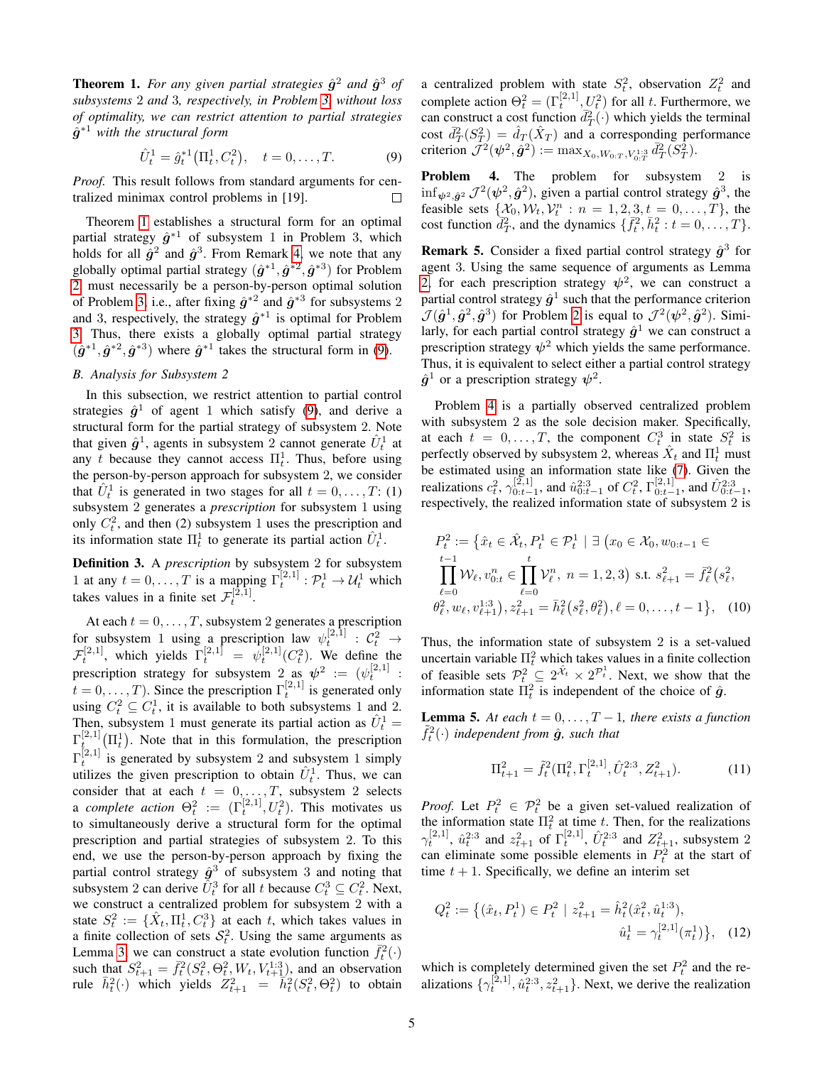<span id="page-4-1"></span>**Theorem 1.** For any given partial strategies  $\hat{g}^2$  and  $\hat{g}^3$  of *subsystems* 2 *and* 3*, respectively, in Problem [3,](#page-3-2) without loss of optimality, we can restrict attention to partial strategies*  $\hat{g}^{\ast 1}$  with the structural form

$$
\hat{U}_t^1 = \hat{g}_t^{*1} \left( \Pi_t^1, C_t^2 \right), \quad t = 0, \dots, T. \tag{9}
$$

*Proof.* This result follows from standard arguments for centralized minimax control problems in [19]. П

Theorem [1](#page-4-1) establishes a structural form for an optimal partial strategy  $\hat{g}^{*1}$  of subsystem 1 in Problem 3, which holds for all  $\hat{g}^2$  and  $\hat{g}^3$ . From Remark [4,](#page-3-4) we note that any globally optimal partial strategy  $(\hat{g}^{*1}, \hat{g}^{*2}, \hat{g}^{*3})$  for Problem [2,](#page-2-4) must necessarily be a person-by-person optimal solution of Problem [3,](#page-3-2) i.e., after fixing  $\hat{g}^{*2}$  and  $\hat{g}^{*3}$  for subsystems 2 and 3, respectively, the strategy  $\hat{g}^{*1}$  is optimal for Problem [3.](#page-3-2) Thus, there exists a globally optimal partial strategy  $(\hat{g}^{*1}, \hat{g}^{*2}, \hat{g}^{*3})$  where  $\hat{g}^{*1}$  takes the structural form in [\(9\)](#page-4-2).

# *B. Analysis for Subsystem 2*

In this subsection, we restrict attention to partial control strategies  $\hat{g}^1$  of agent 1 which satisfy [\(9\)](#page-4-2), and derive a structural form for the partial strategy of subsystem 2. Note that given  $\hat{g}^1$ , agents in subsystem 2 cannot generate  $\hat{U}_t^1$  at any t because they cannot access  $\Pi_t^1$ . Thus, before using the person-by-person approach for subsystem 2, we consider that  $\hat{U}_t^1$  is generated in two stages for all  $t = 0, \ldots, T: (1)$ subsystem 2 generates a *prescription* for subsystem 1 using only  $C_t^2$ , and then (2) subsystem 1 uses the prescription and its information state  $\Pi_t^1$  to generate its partial action  $\hat{U}_t^1$ .

Definition 3. A *prescription* by subsystem 2 for subsystem 1 at any  $t = 0, ..., T$  is a mapping  $\Gamma_t^{[2,1]} : \mathcal{P}_t^1 \to \mathcal{U}_t^1$  which takes values in a finite set  $\mathcal{F}_t^{[\bar{2},\bar{1}]}$ .

At each  $t = 0, \ldots, T$ , subsystem 2 generates a prescription for subsystem 1 using a prescription law  $\psi_t^{[2,1]}$  :  $\mathcal{C}_t^2 \rightarrow$  $\mathcal{F}_t^{[2,1]}$ , which yields  $\Gamma_t^{[2,1]} = \psi_t^{[2,1]}(C_t^2)$ . We define the prescription strategy for subsystem 2 as  $\psi^2 := (\psi_t^{[2,1]} :$  $t = 0, \dots, T$ ). Since the prescription  $\Gamma_t^{[2,1]}$  is generated only using  $C_t^2 \subseteq C_t^1$ , it is available to both subsystems 1 and 2. Then, subsystem 1 must generate its partial action as  $\hat{U}_t^1$  =  $\Gamma_t^{[2,1]}(\Pi_t)$ . Note that in this formulation, the prescription  $\Gamma_t^{[2,1]}$  is generated by subsystem 2 and subsystem 1 simply utilizes the given prescription to obtain  $\hat{U}_t^1$ . Thus, we can consider that at each  $t = 0, \ldots, T$ , subsystem 2 selects a *complete action*  $\Theta_t^2 := (\Gamma_t^{[2,1]}, U_t^2)$ . This motivates us to simultaneously derive a structural form for the optimal prescription and partial strategies of subsystem 2. To this end, we use the person-by-person approach by fixing the partial control strategy  $\hat{g}^3$  of subsystem 3 and noting that subsystem 2 can derive  $\tilde{U}_t^3$  for all t because  $C_t^3 \subseteq C_t^2$ . Next, we construct a centralized problem for subsystem 2 with a state  $S_t^2 := \{ \hat{X}_t, \Pi_t^1, C_t^3 \}$  at each t, which takes values in a finite collection of sets  $S_t^2$ . Using the same arguments as Lemma [3,](#page-3-1) we can construct a state evolution function  $\bar{f}_t^2(\cdot)$ such that  $S_{t+1}^2 = \bar{f}_t^2 (S_t^2, \Theta_t^2, W_t, V_{t+1}^{1:3})$ , and an observation rule  $\bar{h}_t^2(\cdot)$  which yields  $Z_{t+1}^2 = \bar{h}_t^2(S_t^2, \Theta_t^2)$  to obtain

a centralized problem with state  $S_t^2$ , observation  $Z_t^2$  and complete action  $\Theta_t^2 = (\Gamma_t^{[2,1]}, U_t^2)$  for all t. Furthermore, we can construct a cost function  $\overline{d}_T^2(\cdot)$  which yields the terminal cost  $\bar{d}_T^2(S_T^2) = \hat{d}_T(\hat{X}_T)$  and a corresponding performance criterion  $\mathcal{J}^2(\psi^2, \tilde{g}^2) := \max_{X_0, W_{0:T}, V_{0:T}^{1:3}} \bar{d}_T^2(S_T^2)$ .

<span id="page-4-3"></span><span id="page-4-2"></span>Problem 4. The problem for subsystem 2 is  $\inf_{\psi^2, \hat{g}^2} \mathcal{J}^2(\psi^2, \hat{g}^2)$ , given a partial control strategy  $\hat{g}^3$ , the feasible sets  $\{X_0, W_t, V_t^n : n = 1, 2, 3, t = 0, ..., T\}$ , the cost function  $\bar{d}_T^2$ , and the dynamics  $\{\bar{f}_t^2, \bar{h}_t^2 : t = 0, \ldots, T\}$ .

<span id="page-4-4"></span>**Remark 5.** Consider a fixed partial control strategy  $\hat{g}^3$  for agent 3. Using the same sequence of arguments as Lemma [2,](#page-2-3) for each prescription strategy  $\psi^2$ , we can construct a partial control strategy  $\hat{g}^1$  such that the performance criterion  $\mathcal{J}(\hat{g}^1, \hat{g}^2, \hat{g}^3)$  for Problem [2](#page-2-4) is equal to  $\mathcal{J}^2(\psi^2, \hat{g}^2)$ . Similarly, for each partial control strategy  $\hat{g}^1$  we can construct a prescription strategy  $\psi^2$  which yields the same performance. Thus, it is equivalent to select either a partial control strategy  $\hat{g}^1$  or a prescription strategy  $\psi^2$ .

Problem [4](#page-4-3) is a partially observed centralized problem with subsystem 2 as the sole decision maker. Specifically, at each  $t = 0, ..., T$ , the component  $C_t^3$  in state  $S_t^2$  is perfectly observed by subsystem 2, whereas  $\hat{X}_t$  and  $\Pi_t^1$  must be estimated using an information state like [\(7\)](#page-3-5). Given the realizations  $c_t^2$ ,  $\gamma_{0:t-1}^{[2,1]}$ , and  $\hat{u}_{0:t-1}^{2:3}$  of  $C_t^2$ ,  $\Gamma_{0:t-1}^{[2,1]}$ , and  $\hat{U}_{0:t-1}^{2:3}$ , respectively, the realized information state of subsystem 2 is

$$
P_t^2 := \{ \hat{x}_t \in \hat{\mathcal{X}}_t, P_t^1 \in \mathcal{P}_t^1 \mid \exists (x_0 \in \mathcal{X}_0, w_{0:t-1} \in \prod_{\ell=0}^{t-1} \mathcal{W}_{\ell}, v_{0:t}^n \in \prod_{\ell=0}^t \mathcal{V}_{\ell}^n, n = 1, 2, 3) \text{ s.t. } s_{\ell+1}^2 = \bar{f}_{\ell}^2(s_{\ell}^2, \theta_{\ell}^2, w_{\ell}, v_{\ell+1}^{1:3}), z_{\ell+1}^2 = \bar{h}_{\ell}^2(s_{\ell}^2, \theta_{\ell}^2), \ell = 0, \dots, t-1 \}, \quad (10)
$$

Thus, the information state of subsystem 2 is a set-valued uncertain variable  $\Pi_t^2$  which takes values in a finite collection of feasible sets  $\mathcal{P}_t^2 \subseteq 2^{\hat{\mathcal{X}}_t} \times 2^{\mathcal{P}_t^1}$ . Next, we show that the information state  $\Pi_t^2$  is independent of the choice of  $\hat{g}$ .

<span id="page-4-0"></span>**Lemma 5.** At each  $t = 0, \ldots, T-1$ , there exists a function  $\tilde{f}_t^2(\cdot)$  independent from  $\hat{g}$ , such that

$$
\Pi_{t+1}^2 = \tilde{f}_t^2(\Pi_t^2, \Gamma_t^{[2,1]}, \hat{U}_t^{2:3}, Z_{t+1}^2). \tag{11}
$$

*Proof.* Let  $P_t^2 \in \mathcal{P}_t^2$  be a given set-valued realization of the information state  $\Pi_t^2$  at time t. Then, for the realizations  $\gamma_t^{[2,1]}$ ,  $\hat{u}_t^{2:3}$  and  $z_{t+1}^2$  of  $\Gamma_t^{[2,1]}$ ,  $\hat{U}_t^{2:3}$  and  $Z_{t+1}^2$ , subsystem 2 can eliminate some possible elements in  $P_t^2$  at the start of time  $t + 1$ . Specifically, we define an interim set

$$
Q_t^2 := \left\{ (\hat{x}_t, P_t^1) \in P_t^2 \mid z_{t+1}^2 = \hat{h}_t^2 (\hat{x}_t^2, \hat{u}_t^{1:3}), \right\}
$$

$$
\hat{u}_t^1 = \gamma_t^{[2,1]} (\pi_t^1) \right\}, \quad (12)
$$

which is completely determined given the set  $P_t^2$  and the realizations  $\{\gamma_t^{[2,1]}, \hat{u}_t^{2:3}, z_{t+1}^2\}$ . Next, we derive the realization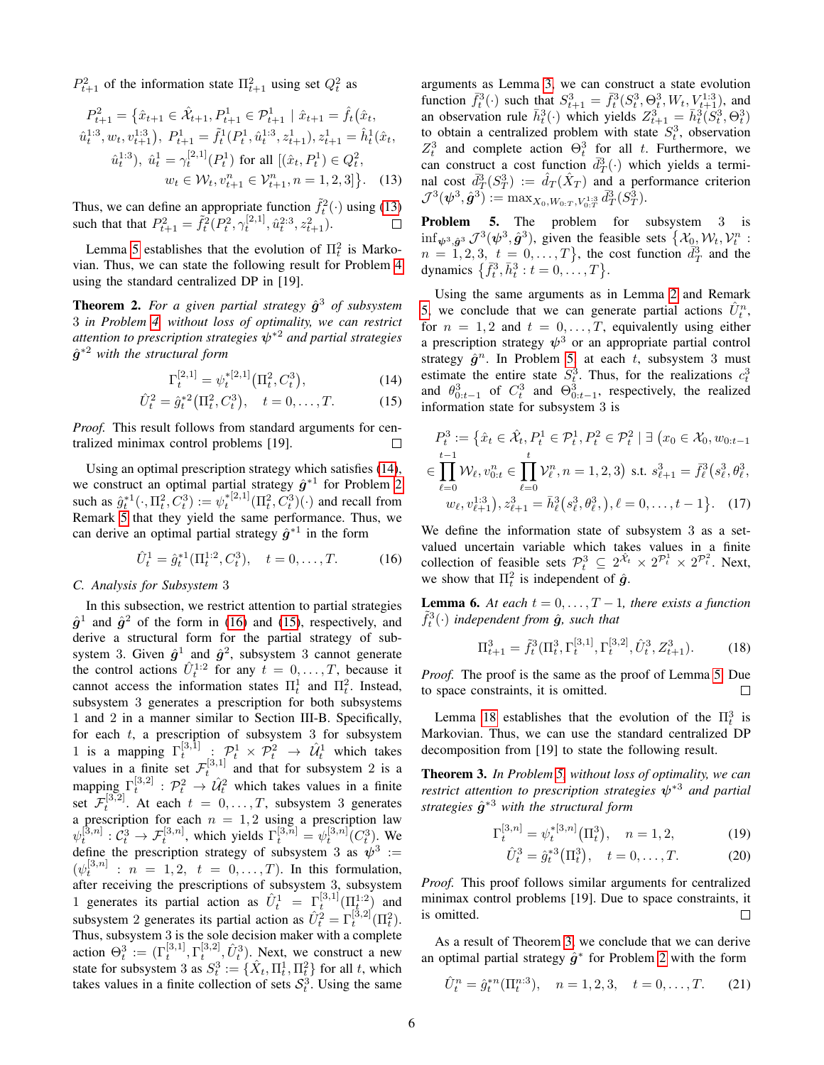$P_{t+1}^2$  of the information state  $\Pi_{t+1}^2$  using set  $Q_t^2$  as

$$
P_{t+1}^{2} = \left\{ \hat{x}_{t+1} \in \hat{\mathcal{X}}_{t+1}, P_{t+1}^{1} \in \mathcal{P}_{t+1}^{1} \mid \hat{x}_{t+1} = \hat{f}_{t}(\hat{x}_{t},
$$
  
\n
$$
\hat{u}_{t}^{1:3}, w_{t}, v_{t+1}^{1:3}), P_{t+1}^{1} = \hat{f}_{t}^{1}(P_{t}^{1}, \hat{u}_{t}^{1:3}, z_{t+1}^{1}), z_{t+1}^{1} = \hat{h}_{t}^{1}(\hat{x}_{t},
$$
  
\n
$$
\hat{u}_{t}^{1:3}), \ \hat{u}_{t}^{1} = \gamma_{t}^{[2,1]}(P_{t}^{1}) \text{ for all } [(\hat{x}_{t}, P_{t}^{1}) \in Q_{t}^{2},
$$
  
\n
$$
w_{t} \in \mathcal{W}_{t}, v_{t+1}^{n} \in \mathcal{V}_{t+1}^{n}, n = 1, 2, 3] \right\}.
$$
 (13)

Thus, we can define an appropriate function  $\tilde{f}_t^2(\cdot)$  using [\(13\)](#page-5-0) such that that  $P_{t+1}^2 = \tilde{f}_t^2 (P_t^2, \gamma_t^{[2,1]}, \hat{u}_t^{2,3}, z_{t+1}^2)$ .

Lemma [5](#page-4-0) establishes that the evolution of  $\Pi_t^2$  is Markovian. Thus, we can state the following result for Problem [4](#page-4-3) using the standard centralized DP in [19].

<span id="page-5-7"></span>**Theorem 2.** For a given partial strategy  $\hat{g}^3$  of subsystem 3 *in Problem [4,](#page-4-3) without loss of optimality, we can restrict attention to prescription strategies* ψ∗<sup>2</sup> *and partial strategies*  $\hat{g}^{*2}$  with the structural form

$$
\Gamma_t^{[2,1]} = \psi_t^{*[2,1]} \big( \Pi_t^2, C_t^3 \big), \tag{14}
$$

$$
\hat{U}_t^2 = \hat{g}_t^{*2} (\Pi_t^2, C_t^3), \quad t = 0, \dots, T. \tag{15}
$$

*Proof.* This result follows from standard arguments for centralized minimax control problems [19].

Using an optimal prescription strategy which satisfies [\(14\)](#page-5-1), we construct an optimal partial strategy  $\hat{g}^{*1}$  for Problem [2](#page-2-4) such as  $\hat{g}_t^{*1}(\cdot, \Pi_t^2, C_t^3) := \psi_t^{*[2,1]}(\Pi_t^2, C_t^3)(\cdot)$  and recall from Remark [5](#page-4-4) that they yield the same performance. Thus, we can derive an optimal partial strategy  $\hat{g}^{*1}$  in the form

$$
\hat{U}_t^1 = \hat{g}_t^{*1}(\Pi_t^{1:2}, C_t^3), \quad t = 0, \dots, T. \tag{16}
$$

# *C. Analysis for Subsystem* 3

In this subsection, we restrict attention to partial strategies  $\hat{g}^1$  and  $\hat{g}^2$  of the form in [\(16\)](#page-5-2) and [\(15\)](#page-5-3), respectively, and derive a structural form for the partial strategy of subsystem 3. Given  $\hat{g}^1$  and  $\hat{g}^2$ , subsystem 3 cannot generate the control actions  $\hat{U}_t^{1:2}$  for any  $t = 0, \dots, T$ , because it cannot access the information states  $\Pi_t^1$  and  $\Pi_t^2$ . Instead, subsystem 3 generates a prescription for both subsystems 1 and 2 in a manner similar to Section III-B. Specifically, for each  $t$ , a prescription of subsystem 3 for subsystem 1 is a mapping  $\Gamma_t^{[3,1]}$  :  $\mathcal{P}_t^1 \times \mathcal{P}_t^2 \rightarrow \hat{\mathcal{U}}_t^1$  which takes values in a finite set  $\mathcal{F}_t^{[3,1]}$  and that for subsystem 2 is a t mapping  $\Gamma_t^{[3,2]}$  :  $\mathcal{P}_t^2 \to \hat{\mathcal{U}}_t^2$  which takes values in a finite set  $\mathcal{F}_t^{[3,2]}$ . At each  $t = 0, \ldots, T$ , subsystem 3 generates a prescription for each  $n = 1, 2$  using a prescription law  $\psi_t^{[3,n]}: C_t^3 \to \mathcal{F}_t^{[3,n]},$  which yields  $\Gamma_t^{[3,n]} = \psi_t^{[3,n]}(C_t^3)$ . We define the prescription strategy of subsystem 3 as  $\psi^3$  :=  $(\psi_t^{[3,n]} : n = 1,2, t = 0,\ldots,T)$ . In this formulation, after receiving the prescriptions of subsystem 3, subsystem 1 generates its partial action as  $\hat{U}_t^1 = \Gamma_t^{[3,1]}(\Pi_t^{1,2})$  and subsystem 2 generates its partial action as  $\hat{U}_t^2 = \Gamma_t^{[3,2]}(\Pi_t^2)$ . Thus, subsystem 3 is the sole decision maker with a complete action  $\Theta_t^3 := (\Gamma_t^{[3,1]}, \Gamma_t^{[3,2]}, \hat{U}_t^3)$ . Next, we construct a new state for subsystem 3 as  $S_t^3 := {\hat{X}_t, \Pi_t^1, \Pi_t^2}$  for all t, which takes values in a finite collection of sets  $S_t^3$ . Using the same

arguments as Lemma [3,](#page-3-1) we can construct a state evolution function  $\bar{f}_t^3(\cdot)$  such that  $S_{t+1}^3 = \bar{f}_t^3(S_t^3, \Theta_t^3, W_t, V_{t+1}^{1:3})$ , and an observation rule  $\bar{h}_t^3(\cdot)$  which yields  $Z_{t+1}^3 = \bar{h}_t^3(S_t^3, \Theta_t^3)$ to obtain a centralized problem with state  $S_t^3$ , observation  $Z_t^3$  and complete action  $\Theta_t^3$  for all t. Furthermore, we can construct a cost function  $\bar{d}_{T}^{3}(\cdot)$  which yields a terminal cost  $\bar{d}_T^3(S_T^3) := \hat{d}_T(\hat{X}_T)$  and a performance criterion  $\mathcal{J}^3(\bm{\psi}^3, \hat{\bm{g}}^3) := \max_{X_0,W_{0:T}, V_{0:T}^{1:3}} \bar{d}_T^3(S_T^{\tilde{3}}).$ 

<span id="page-5-4"></span><span id="page-5-0"></span>Problem 5. The problem for subsystem 3 is  $\inf_{\psi^3, \hat{g}^3} \mathcal{J}^3(\psi^3, \hat{g}^3)$ , given the feasible sets  $\{\mathcal{X}_{\underline{0}}, \mathcal{W}_t, \mathcal{V}_t^n$ :  $n = 1, 2, 3, t = 0, \ldots, T$ , the cost function  $\bar{d}_T^3$  and the dynamics  $\{\bar{f}_t^3, \bar{h}_t^3 : t = 0, ..., T\}.$ 

Using the same arguments as in Lemma [2](#page-2-3) and Remark [5,](#page-4-4) we conclude that we can generate partial actions  $\hat{U}_t^n$ , for  $n = 1, 2$  and  $t = 0, \ldots, T$ , equivalently using either a prescription strategy  $\psi^3$  or an appropriate partial control strategy  $\hat{g}^n$ . In Problem [5,](#page-5-4) at each t, subsystem 3 must estimate the entire state  $S_t^3$ . Thus, for the realizations  $c_t^3$  and  $\theta_{0:t-1}^3$  of  $C_t^3$  and  $\Theta_{0:t-1}^3$ , respectively, the realized information state for subsystem 3 is

<span id="page-5-3"></span><span id="page-5-1"></span>
$$
P_t^3 := \left\{ \hat{x}_t \in \hat{\mathcal{X}}_t, P_t^1 \in \mathcal{P}_t^1, P_t^2 \in \mathcal{P}_t^2 \mid \exists (x_0 \in \mathcal{X}_0, w_{0:t-1}) \in \prod_{\ell=0}^{t-1} \mathcal{W}_{\ell}, v_{0:t}^n \in \prod_{\ell=0}^t \mathcal{V}_{\ell}^n, n = 1, 2, 3 \right\} \text{ s.t. } s_{\ell+1}^3 = \bar{f}_{\ell}^3 \left( s_{\ell}^3, \theta_{\ell}^3, \theta_{\ell}^3, w_{\ell}, v_{\ell+1}^{1:3} \right), z_{\ell+1}^3 = \bar{h}_{\ell}^3 \left( s_{\ell}^3, \theta_{\ell}^3, \theta_{\ell}^3, \theta_{\ell}^3, \theta_{\ell}^3, \theta_{\ell}^3, \theta_{\ell}^3, \theta_{\ell}^3, \theta_{\ell}^3, \theta_{\ell}^3, \theta_{\ell}^3, \theta_{\ell}^3, \theta_{\ell}^3, \theta_{\ell}^3, \theta_{\ell}^3, \theta_{\ell}^3, \theta_{\ell}^3, \theta_{\ell}^3, \theta_{\ell}^3, \theta_{\ell}^3, \theta_{\ell}^3, \theta_{\ell}^3, \theta_{\ell}^3, \theta_{\ell}^3, \theta_{\ell}^3, \theta_{\ell}^3, \theta_{\ell}^3, \theta_{\ell}^3, \theta_{\ell}^3, \theta_{\ell}^3, \theta_{\ell}^3, \theta_{\ell}^3, \theta_{\ell}^3, \theta_{\ell}^3, \theta_{\ell}^3, \theta_{\ell}^3, \theta_{\ell}^3, \theta_{\ell}^3, \theta_{\ell}^3, \theta_{\ell}^3, \theta_{\ell}^3, \theta_{\ell}^3, \theta_{\ell}^3, \theta_{\ell}^3, \theta_{\ell}^3, \theta_{\ell}^3, \theta_{\ell}^3, \theta_{\ell}^3, \theta_{\ell}^3, \theta_{\ell}^3, \theta_{\ell}^3, \theta_{\ell}^3, \theta_{\ell}^3, \theta_{\ell}^3, \theta_{\ell}^3, \theta_{\ell}^3, \theta_{\ell
$$

<span id="page-5-2"></span>We define the information state of subsystem 3 as a setvalued uncertain variable which takes values in a finite collection of feasible sets  $\mathcal{P}_t^3 \subseteq 2^{\hat{\mathcal{X}}_t} \times 2^{\mathcal{P}_t^1} \times 2^{\mathcal{P}_t^2}$ . Next, we show that  $\Pi_t^2$  is independent of  $\hat{g}$ .

**Lemma 6.** At each  $t = 0, \ldots, T-1$ , there exists a function  $\tilde{f}_t^3(\cdot)$  independent from  $\hat{g}$ , such that

<span id="page-5-5"></span>
$$
\Pi_{t+1}^3 = \tilde{f}_t^3(\Pi_t^3, \Gamma_t^{[3,1]}, \Gamma_t^{[3,2]}, \hat{U}_t^3, Z_{t+1}^3). \tag{18}
$$

*Proof.* The proof is the same as the proof of Lemma [5.](#page-4-0) Due to space constraints, it is omitted. □

Lemma [18](#page-5-5) establishes that the evolution of the  $\Pi_t^3$  is Markovian. Thus, we can use the standard centralized DP decomposition from [19] to state the following result.

<span id="page-5-6"></span>Theorem 3. *In Problem [5,](#page-5-4) without loss of optimality, we can restrict attention to prescription strategies* ψ<sup>∗</sup><sup>3</sup> *and partial strategies* gˆ <sup>∗</sup><sup>3</sup> *with the structural form*

$$
\Gamma_t^{[3,n]} = \psi_t^{*[3,n]}(\Pi_t^3), \quad n = 1, 2,
$$
\n(19)

$$
\hat{U}_t^3 = \hat{g}_t^{*3}(\Pi_t^3), \quad t = 0, \dots, T. \tag{20}
$$

*Proof.* This proof follows similar arguments for centralized minimax control problems [19]. Due to space constraints, it is omitted.  $\Box$ 

As a result of Theorem [3,](#page-5-6) we conclude that we can derive an optimal partial strategy  $\hat{g}^*$  for Problem [2](#page-2-4) with the form

$$
\hat{U}_t^n = \hat{g}_t^{*n}(\Pi_t^{n:3}), \quad n = 1, 2, 3, \quad t = 0, \dots, T. \tag{21}
$$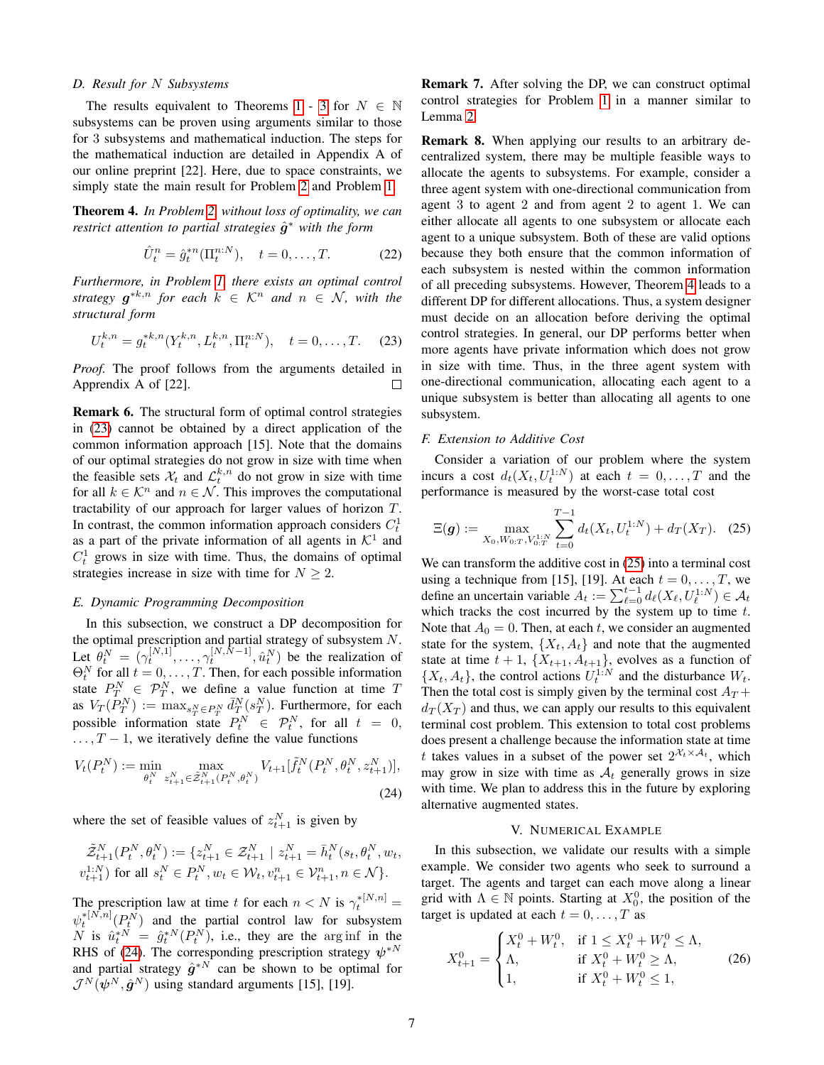#### *D. Result for* N *Subsystems*

The results equivalent to Theorems [1](#page-4-1) - [3](#page-5-6) for  $N \in \mathbb{N}$ subsystems can be proven using arguments similar to those for 3 subsystems and mathematical induction. The steps for the mathematical induction are detailed in Appendix A of our online preprint [22]. Here, due to space constraints, we simply state the main result for Problem [2](#page-2-4) and Problem [1.](#page-2-1)

<span id="page-6-0"></span>Theorem 4. *In Problem [2,](#page-2-4) without loss of optimality, we can restrict attention to partial strategies*  $\hat{g}$ <sup>∗</sup> with the form

$$
\hat{U}_t^n = \hat{g}_t^{*n}(\Pi_t^{n:N}), \quad t = 0, \dots, T. \tag{22}
$$

*Furthermore, in Problem [1,](#page-2-1) there exists an optimal control strategy*  $g^{*k,n}$  *for each*  $k \in \mathcal{K}^n$  *and*  $n \in \mathcal{N}$ *, with the structural form*

$$
U_t^{k,n} = g_t^{*k,n}(Y_t^{k,n}, L_t^{k,n}, \Pi_t^{n:N}), \quad t = 0, \dots, T. \tag{23}
$$

*Proof.* The proof follows from the arguments detailed in Apprendix A of [22].  $\Box$ 

<span id="page-6-2"></span>Remark 6. The structural form of optimal control strategies in [\(23\)](#page-6-4) cannot be obtained by a direct application of the common information approach [15]. Note that the domains of our optimal strategies do not grow in size with time when the feasible sets  $\mathcal{X}_t$  and  $\mathcal{L}_t^{k,n}$  do not grow in size with time for all  $k \in \mathcal{K}^n$  and  $n \in \mathcal{N}$ . This improves the computational tractability of our approach for larger values of horizon T. In contrast, the common information approach considers  $C_t^1$ as a part of the private information of all agents in  $K^1$  and  $C_t^1$  grows in size with time. Thus, the domains of optimal strategies increase in size with time for  $N \geq 2$ .

### <span id="page-6-1"></span>*E. Dynamic Programming Decomposition*

In this subsection, we construct a DP decomposition for the optimal prescription and partial strategy of subsystem  $N$ . Let  $\hat{\theta}_t^N = (\gamma_t^{[N,1]}, \dots, \gamma_t^{[N,N-1]}, \hat{u}_t^N)$  be the realization of  $\Theta_t^N$  for all  $t = 0, ..., T$ . Then, for each possible information state  $P_T^N \in \mathcal{P}_T^N$ , we define a value function at time T as  $V_T(P_T^N) := \max_{s_T^N \in P_T^N} \bar{d}_{T}^N(s_T^N)$ . Furthermore, for each possible information state  $P_t^N \in \mathcal{P}_t^N$ , for all  $t = 0$ ,  $\ldots$ ,  $T-1$ , we iteratively define the value functions

$$
V_t(P_t^N) := \min_{\theta_t^N} \max_{z_{t+1}^N \in \tilde{\mathcal{Z}}_{t+1}^N(P_t^N, \theta_t^N)} V_{t+1}[\tilde{f}_t^N(P_t^N, \theta_t^N, z_{t+1}^N)],
$$
\n(24)

where the set of feasible values of  $z_{t+1}^N$  is given by

$$
\tilde{\mathcal{Z}}_{t+1}^{N}(P_{t}^{N}, \theta_{t}^{N}) := \{z_{t+1}^{N} \in \mathcal{Z}_{t+1}^{N} \mid z_{t+1}^{N} = \bar{h}_{t}^{N}(s_{t}, \theta_{t}^{N}, w_{t}, v_{t+1}^{1:N}) \text{ for all } s_{t}^{N} \in P_{t}^{N}, w_{t} \in \mathcal{W}_{t}, v_{t+1}^{n} \in \mathcal{V}_{t+1}^{n}, n \in \mathcal{N}\}.
$$

The prescription law at time t for each  $n < N$  is  $\gamma_t^{*[N,n]} =$  $\psi_t^{*[N,n]}(P_t^N)$  and the partial control law for subsystem N is  $\hat{u}_t^{*N} = \hat{g}_t^{*N}(P_t^N)$ , i.e., they are the arginf in the RHS of [\(24\)](#page-6-5). The corresponding prescription strategy  $\psi^{*N}$ and partial strategy  $\hat{g}^{*N}$  can be shown to be optimal for  $\mathcal{J}^{N}(\psi^{N}, \hat{\bm{g}}^{N})$  using standard arguments [15], [19].

Remark 7. After solving the DP, we can construct optimal control strategies for Problem [1](#page-2-1) in a manner similar to Lemma [2.](#page-2-3)

Remark 8. When applying our results to an arbitrary decentralized system, there may be multiple feasible ways to allocate the agents to subsystems. For example, consider a three agent system with one-directional communication from agent 3 to agent 2 and from agent 2 to agent 1. We can either allocate all agents to one subsystem or allocate each agent to a unique subsystem. Both of these are valid options because they both ensure that the common information of each subsystem is nested within the common information of all preceding subsystems. However, Theorem [4](#page-6-0) leads to a different DP for different allocations. Thus, a system designer must decide on an allocation before deriving the optimal control strategies. In general, our DP performs better when more agents have private information which does not grow in size with time. Thus, in the three agent system with one-directional communication, allocating each agent to a unique subsystem is better than allocating all agents to one subsystem.

#### <span id="page-6-4"></span>*F. Extension to Additive Cost*

Consider a variation of our problem where the system incurs a cost  $d_t(X_t, U_t^{1:N})$  at each  $t = 0, ..., T$  and the performance is measured by the worst-case total cost

<span id="page-6-6"></span>
$$
\Xi(\boldsymbol{g}) := \max_{X_0, W_{0:T}, V_{0:T}^{1:N}} \sum_{t=0}^{T-1} d_t(X_t, U_t^{1:N}) + d_T(X_T). \tag{25}
$$

We can transform the additive cost in [\(25\)](#page-6-6) into a terminal cost using a technique from [15], [19]. At each  $t = 0, \dots, T$ , we define an uncertain variable  $A_t := \sum_{\ell=0}^{t-1} d_{\ell}(X_{\ell}, U_{\ell}^{1:N}) \in \mathcal{A}_t$ which tracks the cost incurred by the system up to time  $t$ . Note that  $A_0 = 0$ . Then, at each t, we consider an augmented state for the system,  $\{X_t, A_t\}$  and note that the augmented state at time  $t + 1$ ,  $\{X_{t+1}, A_{t+1}\}$ , evolves as a function of  $\{X_t, A_t\}$ , the control actions  $U_t^{1:N}$  and the disturbance  $W_t$ . Then the total cost is simply given by the terminal cost  $A_T$  +  $d_T(X_T)$  and thus, we can apply our results to this equivalent terminal cost problem. This extension to total cost problems does present a challenge because the information state at time t takes values in a subset of the power set  $2^{\mathcal{X}_t \times \mathcal{A}_t}$ , which may grow in size with time as  $A_t$  generally grows in size with time. We plan to address this in the future by exploring alternative augmented states.

#### V. NUMERICAL EXAMPLE

<span id="page-6-5"></span><span id="page-6-3"></span>In this subsection, we validate our results with a simple example. We consider two agents who seek to surround a target. The agents and target can each move along a linear grid with  $\Lambda \in \mathbb{N}$  points. Starting at  $X_0^0$ , the position of the target is updated at each  $t = 0, \ldots, T$  as

$$
X_{t+1}^{0} = \begin{cases} X_{t}^{0} + W_{t}^{0}, & \text{if } 1 \le X_{t}^{0} + W_{t}^{0} \le \Lambda, \\ \Lambda, & \text{if } X_{t}^{0} + W_{t}^{0} \ge \Lambda, \\ 1, & \text{if } X_{t}^{0} + W_{t}^{0} \le 1, \end{cases}
$$
 (26)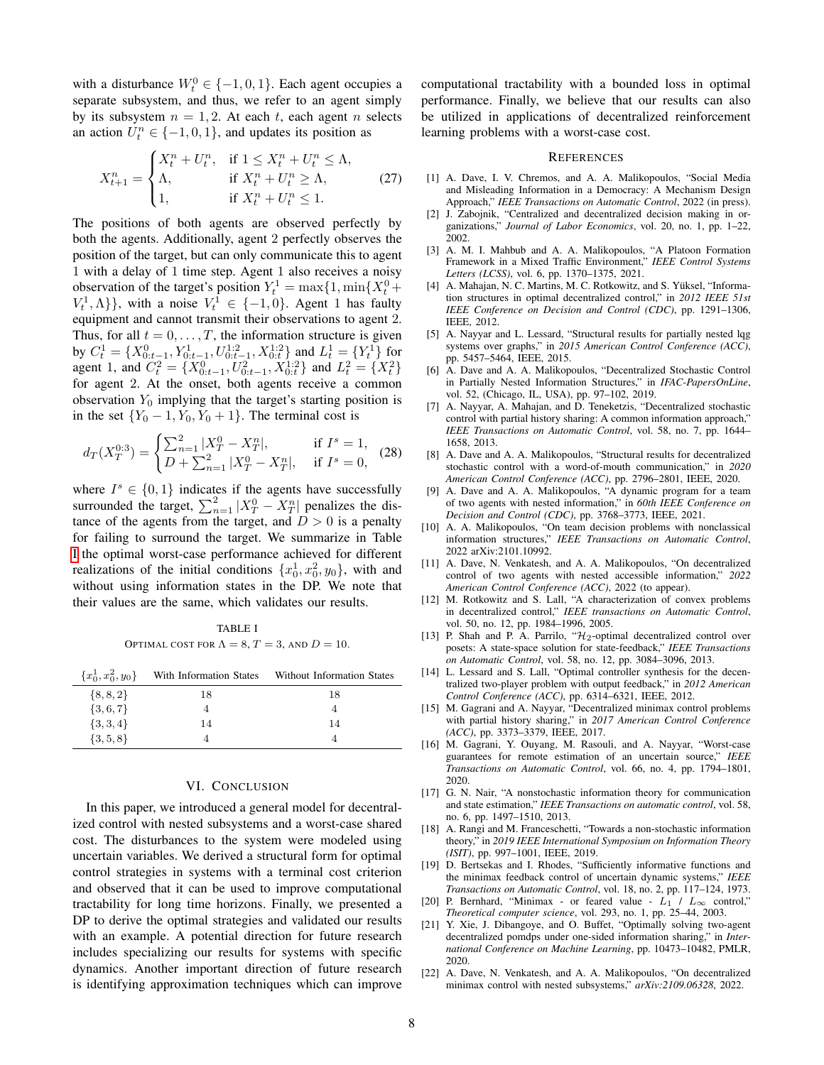with a disturbance  $W_t^0 \in \{-1, 0, 1\}$ . Each agent occupies a separate subsystem, and thus, we refer to an agent simply by its subsystem  $n = 1, 2$ . At each t, each agent n selects an action  $U_t^n \in \{-1, 0, 1\}$ , and updates its position as

$$
X_{t+1}^{n} = \begin{cases} X_{t}^{n} + U_{t}^{n}, & \text{if } 1 \le X_{t}^{n} + U_{t}^{n} \le \Lambda, \\ \Lambda, & \text{if } X_{t}^{n} + U_{t}^{n} \ge \Lambda, \\ 1, & \text{if } X_{t}^{n} + U_{t}^{n} \le 1. \end{cases}
$$
 (27)

The positions of both agents are observed perfectly by both the agents. Additionally, agent 2 perfectly observes the position of the target, but can only communicate this to agent 1 with a delay of 1 time step. Agent 1 also receives a noisy observation of the target's position  $Y_t^1 = \max\{1, \min\{X_t^0 + \}$  $V_t^1, \Lambda$ }, with a noise  $V_t^1 \in \{-1, 0\}$ . Agent 1 has faulty equipment and cannot transmit their observations to agent 2. Thus, for all  $t = 0, \ldots, T$ , the information structure is given by  $C_t^1 = \{X_{0:t-1}^0, Y_{0:t-1}^1, U_{0:t-1}^{1:2}, X_{0:t}^{1:2}\}$  and  $L_t^1 = \{Y_t^1\}$  for agent 1, and  $C_t^2 = \{X_{0:t-1}^0, U_{0:t-1}^2, X_{0:t}^{1:2}\}\$  and  $L_t^2 = \{X_t^2\}$ for agent 2. At the onset, both agents receive a common observation  $Y_0$  implying that the target's starting position is in the set  ${Y_0 - 1, Y_0, Y_0 + 1}$ . The terminal cost is

$$
d_T(X_T^{0.3}) = \begin{cases} \sum_{n=1}^2 |X_T^0 - X_T^n|, & \text{if } I^s = 1, \\ D + \sum_{n=1}^2 |X_T^0 - X_T^n|, & \text{if } I^s = 0, \end{cases}
$$
 (28)

where  $I^s \in \{0, 1\}$  indicates if the agents have successfully surrounded the target,  $\sum_{n=1}^{2} |X_T^0 - X_T^n|$  penalizes the distance of the agents from the target, and  $D > 0$  is a penalty for failing to surround the target. We summarize in Table [I](#page-7-1) the optimal worst-case performance achieved for different realizations of the initial conditions  $\{x_0^1, x_0^2, y_0\}$ , with and without using information states in the DP. We note that their values are the same, which validates our results.

TABLE I OPTIMAL COST FOR  $\Lambda = 8, T = 3$ , and  $D = 10$ .

<span id="page-7-1"></span>

| $\{x_0^1, x_0^2, y_0\}$ | With Information States | <b>Without Information States</b> |
|-------------------------|-------------------------|-----------------------------------|
| $\{8, 8, 2\}$           | 18                      | 18                                |
| $\{3,6,7\}$             |                         |                                   |
| $\{3,3,4\}$             | 14                      | 14                                |
| $\{3, 5, 8\}$           |                         |                                   |

## VI. CONCLUSION

<span id="page-7-0"></span>In this paper, we introduced a general model for decentralized control with nested subsystems and a worst-case shared cost. The disturbances to the system were modeled using uncertain variables. We derived a structural form for optimal control strategies in systems with a terminal cost criterion and observed that it can be used to improve computational tractability for long time horizons. Finally, we presented a DP to derive the optimal strategies and validated our results with an example. A potential direction for future research includes specializing our results for systems with specific dynamics. Another important direction of future research is identifying approximation techniques which can improve computational tractability with a bounded loss in optimal performance. Finally, we believe that our results can also be utilized in applications of decentralized reinforcement learning problems with a worst-case cost.

#### **REFERENCES**

- [1] A. Dave, I. V. Chremos, and A. A. Malikopoulos, "Social Media and Misleading Information in a Democracy: A Mechanism Design Approach," *IEEE Transactions on Automatic Control*, 2022 (in press).
- [2] J. Zabojnik, "Centralized and decentralized decision making in organizations," *Journal of Labor Economics*, vol. 20, no. 1, pp. 1–22, 2002.
- [3] A. M. I. Mahbub and A. A. Malikopoulos, "A Platoon Formation Framework in a Mixed Traffic Environment," *IEEE Control Systems Letters (LCSS)*, vol. 6, pp. 1370–1375, 2021.
- [4] A. Mahajan, N. C. Martins, M. C. Rotkowitz, and S. Yüksel, "Information structures in optimal decentralized control," in *2012 IEEE 51st IEEE Conference on Decision and Control (CDC)*, pp. 1291–1306, IEEE, 2012.
- [5] A. Nayyar and L. Lessard, "Structural results for partially nested lqg systems over graphs," in *2015 American Control Conference (ACC)*, pp. 5457–5464, IEEE, 2015.
- [6] A. Dave and A. A. Malikopoulos, "Decentralized Stochastic Control in Partially Nested Information Structures," in *IFAC-PapersOnLine*, vol. 52, (Chicago, IL, USA), pp. 97–102, 2019.
- [7] A. Nayyar, A. Mahajan, and D. Teneketzis, "Decentralized stochastic control with partial history sharing: A common information approach,' *IEEE Transactions on Automatic Control*, vol. 58, no. 7, pp. 1644– 1658, 2013.
- [8] A. Dave and A. A. Malikopoulos, "Structural results for decentralized stochastic control with a word-of-mouth communication," in *2020 American Control Conference (ACC)*, pp. 2796–2801, IEEE, 2020.
- [9] A. Dave and A. A. Malikopoulos, "A dynamic program for a team of two agents with nested information," in *60th IEEE Conference on Decision and Control (CDC)*, pp. 3768–3773, IEEE, 2021.
- [10] A. A. Malikopoulos, "On team decision problems with nonclassical information structures," *IEEE Transactions on Automatic Control*, 2022 arXiv:2101.10992.
- [11] A. Dave, N. Venkatesh, and A. A. Malikopoulos, "On decentralized control of two agents with nested accessible information," *2022 American Control Conference (ACC)*, 2022 (to appear).
- [12] M. Rotkowitz and S. Lall, "A characterization of convex problems in decentralized control," *IEEE transactions on Automatic Control*, vol. 50, no. 12, pp. 1984–1996, 2005.
- [13] P. Shah and P. A. Parrilo, "H<sub>2</sub>-optimal decentralized control over posets: A state-space solution for state-feedback," *IEEE Transactions on Automatic Control*, vol. 58, no. 12, pp. 3084–3096, 2013.
- [14] L. Lessard and S. Lall, "Optimal controller synthesis for the decentralized two-player problem with output feedback," in *2012 American Control Conference (ACC)*, pp. 6314–6321, IEEE, 2012.
- [15] M. Gagrani and A. Nayyar, "Decentralized minimax control problems with partial history sharing," in *2017 American Control Conference (ACC)*, pp. 3373–3379, IEEE, 2017.
- [16] M. Gagrani, Y. Ouyang, M. Rasouli, and A. Nayyar, "Worst-case guarantees for remote estimation of an uncertain source," *IEEE Transactions on Automatic Control*, vol. 66, no. 4, pp. 1794–1801, 2020.
- [17] G. N. Nair, "A nonstochastic information theory for communication and state estimation," *IEEE Transactions on automatic control*, vol. 58, no. 6, pp. 1497–1510, 2013.
- [18] A. Rangi and M. Franceschetti, "Towards a non-stochastic information theory," in *2019 IEEE International Symposium on Information Theory (ISIT)*, pp. 997–1001, IEEE, 2019.
- [19] D. Bertsekas and I. Rhodes, "Sufficiently informative functions and the minimax feedback control of uncertain dynamic systems," *IEEE Transactions on Automatic Control*, vol. 18, no. 2, pp. 117–124, 1973.
- [20] P. Bernhard, "Minimax or feared value  $L_1 / L_{\infty}$  control," *Theoretical computer science*, vol. 293, no. 1, pp. 25–44, 2003.
- [21] Y. Xie, J. Dibangoye, and O. Buffet, "Optimally solving two-agent decentralized pomdps under one-sided information sharing," in *International Conference on Machine Learning*, pp. 10473–10482, PMLR, 2020.
- [22] A. Dave, N. Venkatesh, and A. A. Malikopoulos, "On decentralized minimax control with nested subsystems," *arXiv:2109.06328*, 2022.